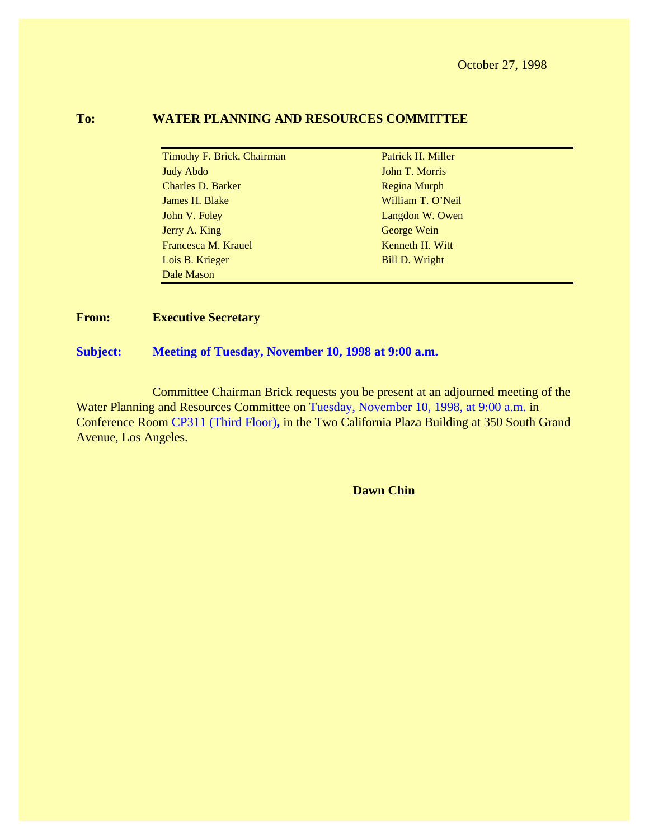October 27, 1998

#### **To: WATER PLANNING AND RESOURCES COMMITTEE**

Timothy F. Brick, Chairman Patrick H. Miller Judy Abdo John T. Morris Charles D. Barker Regina Murph James H. Blake William T. O'Neil John V. Foley **Langdon W. Owen** Jerry A. King George Wein Francesca M. Krauel Kenneth H. Witt Lois B. Krieger Bill D. Wright Dale Mason

#### **From: Executive Secretary**

#### **Subject: Meeting of Tuesday, November 10, 1998 at 9:00 a.m.**

Committee Chairman Brick requests you be present at an adjourned meeting of the Water Planning and Resources Committee on Tuesday, November 10, 1998, at 9:00 a.m. in Conference Room CP311 (Third Floor)**,** in the Two California Plaza Building at 350 South Grand Avenue, Los Angeles.

**Dawn Chin**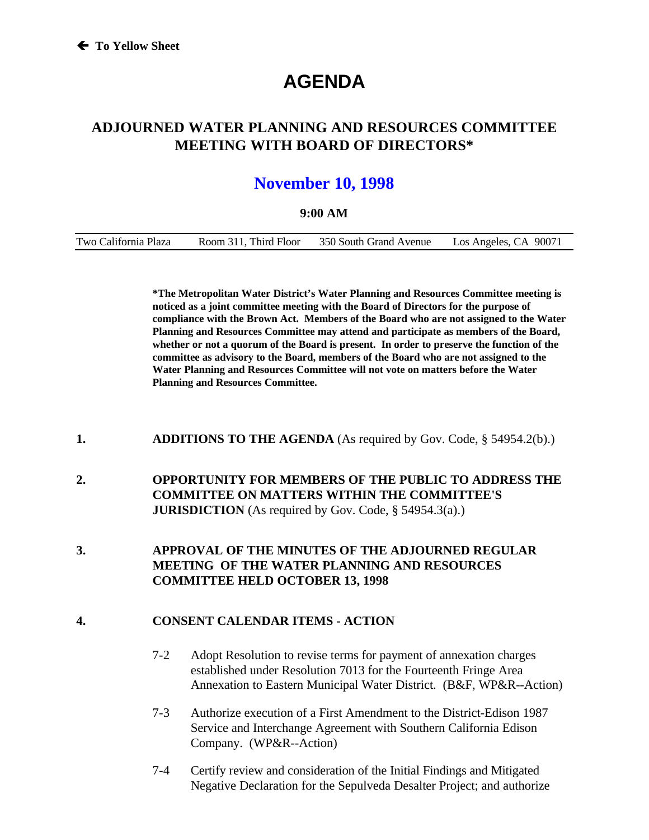# **AGENDA**

### **ADJOURNED WATER PLANNING AND RESOURCES COMMITTEE MEETING WITH BOARD OF DIRECTORS\***

## **November 10, 1998**

#### **9:00 AM**

| Two California Plaza | Room 311, Third Floor | 350 South Grand Avenue | Los Angeles, CA 90071 |
|----------------------|-----------------------|------------------------|-----------------------|
|                      |                       |                        |                       |

**\*The Metropolitan Water District's Water Planning and Resources Committee meeting is noticed as a joint committee meeting with the Board of Directors for the purpose of compliance with the Brown Act. Members of the Board who are not assigned to the Water Planning and Resources Committee may attend and participate as members of the Board, whether or not a quorum of the Board is present. In order to preserve the function of the committee as advisory to the Board, members of the Board who are not assigned to the Water Planning and Resources Committee will not vote on matters before the Water Planning and Resources Committee.**

- **1. ADDITIONS TO THE AGENDA** (As required by Gov. Code, § 54954.2(b).)
- **2. OPPORTUNITY FOR MEMBERS OF THE PUBLIC TO ADDRESS THE COMMITTEE ON MATTERS WITHIN THE COMMITTEE'S JURISDICTION** (As required by Gov. Code, § 54954.3(a).)
- **3. APPROVAL OF THE MINUTES OF THE ADJOURNED REGULAR MEETING OF THE WATER PLANNING AND RESOURCES COMMITTEE HELD OCTOBER 13, 1998**

#### **4. CONSENT CALENDAR ITEMS - ACTION**

- 7-2 Adopt Resolution to revise terms for payment of annexation charges established under Resolution 7013 for the Fourteenth Fringe Area Annexation to Eastern Municipal Water District. (B&F, WP&R--Action)
- 7-3 Authorize execution of a First Amendment to the District-Edison 1987 Service and Interchange Agreement with Southern California Edison Company. (WP&R--Action)
- 7-4 Certify review and consideration of the Initial Findings and Mitigated Negative Declaration for the Sepulveda Desalter Project; and authorize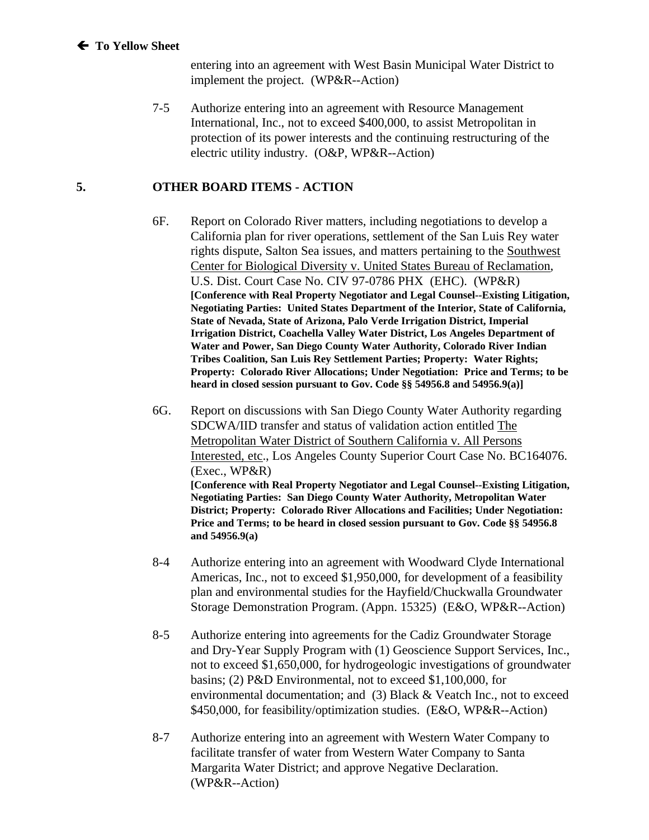entering into an agreement with West Basin Municipal Water District to implement the project. (WP&R--Action)

7-5 Authorize entering into an agreement with Resource Management International, Inc., not to exceed \$400,000, to assist Metropolitan in protection of its power interests and the continuing restructuring of the electric utility industry. (O&P, WP&R--Action)

#### **5. OTHER BOARD ITEMS - ACTION**

- 6F. Report on Colorado River matters, including negotiations to develop a California plan for river operations, settlement of the San Luis Rey water rights dispute, Salton Sea issues, and matters pertaining to the Southwest Center for Biological Diversity v. United States Bureau of Reclamation, U.S. Dist. Court Case No. CIV 97-0786 PHX (EHC). (WP&R) **[Conference with Real Property Negotiator and Legal Counsel--Existing Litigation, Negotiating Parties: United States Department of the Interior, State of California, State of Nevada, State of Arizona, Palo Verde Irrigation District, Imperial Irrigation District, Coachella Valley Water District, Los Angeles Department of Water and Power, San Diego County Water Authority, Colorado River Indian Tribes Coalition, San Luis Rey Settlement Parties; Property: Water Rights; Property: Colorado River Allocations; Under Negotiation: Price and Terms; to be heard in closed session pursuant to Gov. Code §§ 54956.8 and 54956.9(a)]**
- 6G. Report on discussions with San Diego County Water Authority regarding SDCWA/IID transfer and status of validation action entitled The Metropolitan Water District of Southern California v. All Persons Interested, etc., Los Angeles County Superior Court Case No. BC164076. (Exec., WP&R) **[Conference with Real Property Negotiator and Legal Counsel--Existing Litigation, Negotiating Parties: San Diego County Water Authority, Metropolitan Water District; Property: Colorado River Allocations and Facilities; Under Negotiation: Price and Terms; to be heard in closed session pursuant to Gov. Code §§ 54956.8 and 54956.9(a)**
- 8-4 Authorize entering into an agreement with Woodward Clyde International Americas, Inc., not to exceed \$1,950,000, for development of a feasibility plan and environmental studies for the Hayfield/Chuckwalla Groundwater Storage Demonstration Program. (Appn. 15325) (E&O, WP&R--Action)
- 8-5 Authorize entering into agreements for the Cadiz Groundwater Storage and Dry-Year Supply Program with (1) Geoscience Support Services, Inc., not to exceed \$1,650,000, for hydrogeologic investigations of groundwater basins; (2) P&D Environmental, not to exceed \$1,100,000, for environmental documentation; and (3) Black & Veatch Inc., not to exceed \$450,000, for feasibility/optimization studies. (E&O, WP&R--Action)
- 8-7 Authorize entering into an agreement with Western Water Company to facilitate transfer of water from Western Water Company to Santa Margarita Water District; and approve Negative Declaration. (WP&R--Action)